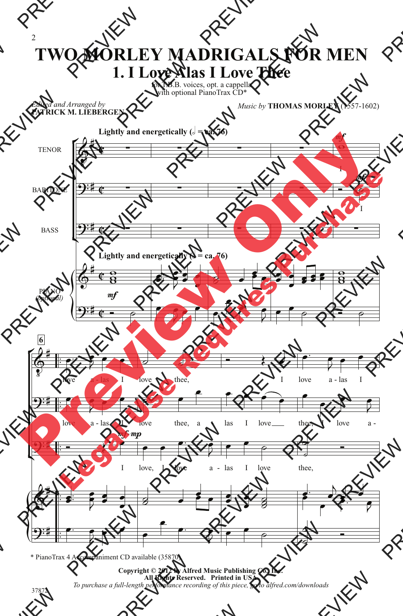## **TWO MORLEY MADRIGALS FOR MEN 1. I Love Alas I Love Thee**

for T.B.B. voices, opt. a cappella with optional PianoTrax CD\*

*Edited and Arranged by* **PATRICK M. LIEBERGEN**

*Music by* **THOMAS MORLEY** (1557-1602)



\* PianoTrax 4 Accompaniment CD available (35870).

2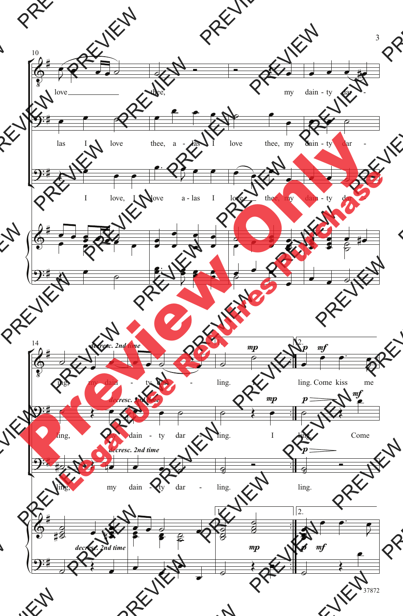

3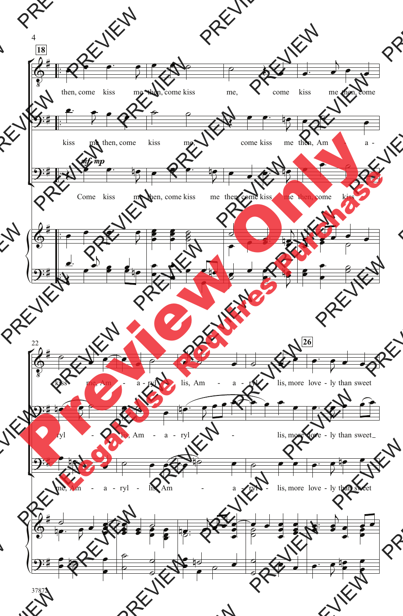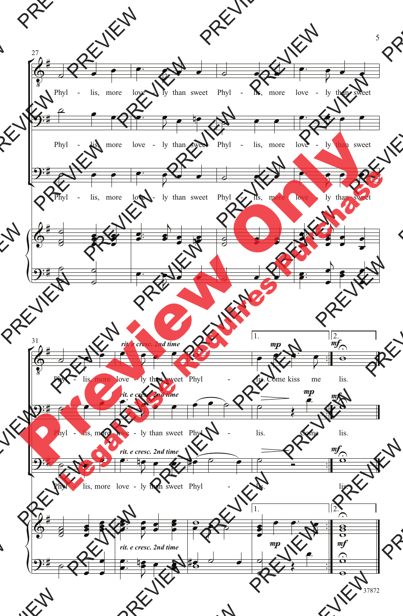

37872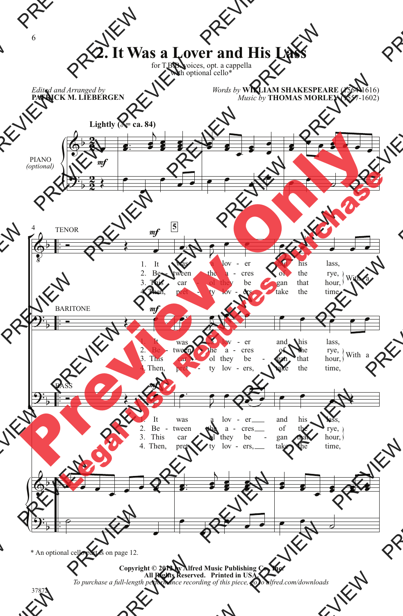## **2. It Was a Lover and His Lass**

for T.B.B. voices, opt. a cappella with optional cello\*

*Edited and Arranged by* **PATRICK M. LIEBERGEN** *Words by* **WILLIAM SHAKESPEARE** (1564-1616) *Music by* **THOMAS MORLEY** (1557-1602)



\* An optional cello part is on page 12.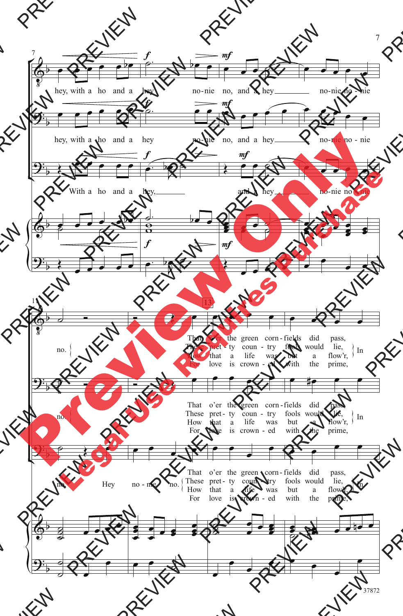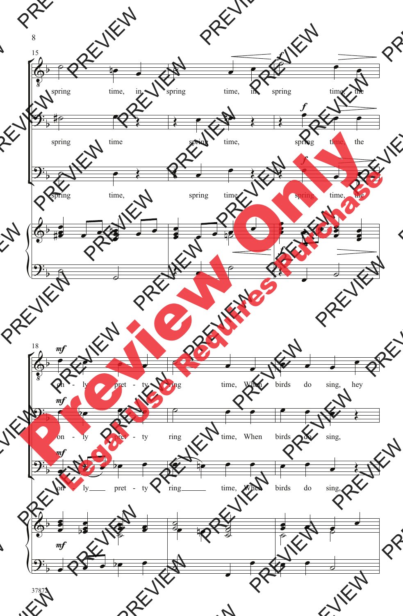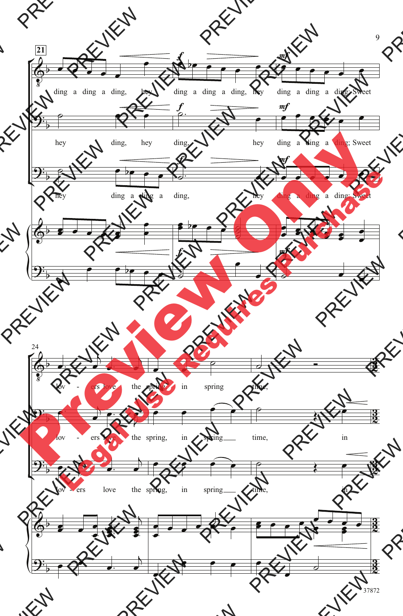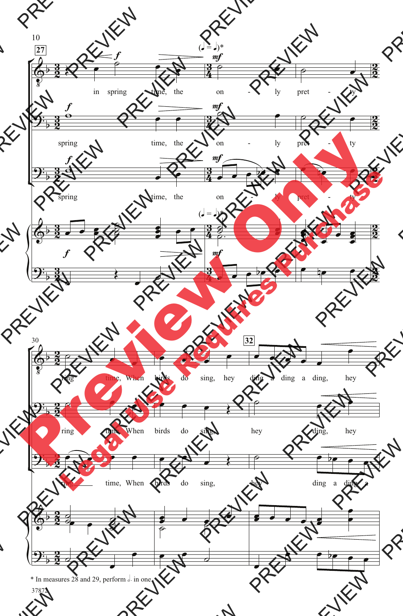

 $*$  In measures 28 and 29, perform  $\frac{1}{e}$ . in one.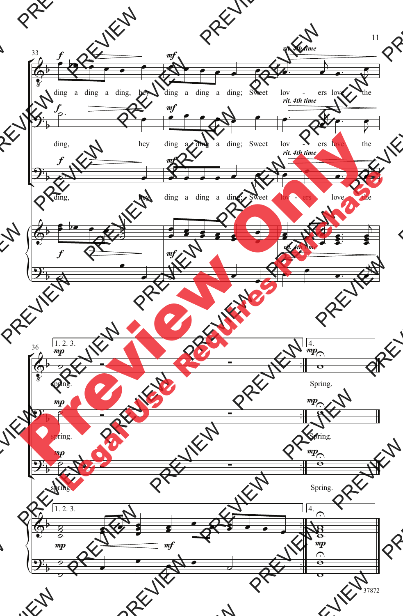